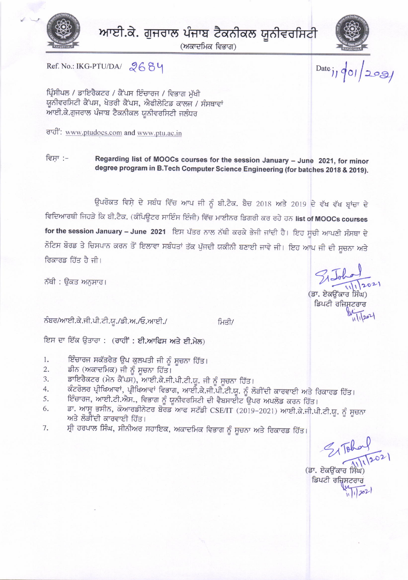

ਆਈ.ਕੇ. ਗੁਜਰਾਲ ਪੰਜਾਬ ਟੈਕਨੀਕਲ ਯੂਨੀਵਰਸਿਟੀ

(ਅਕਾਦਮਿਕ ਵਿਭਾਗ)



 $\frac{1}{\frac{1}{2}}$ 

Ref. No.: IKG-PTU/DA/ 2684

ਪ੍ਰਿੰਸੀਪਲ / ਡਾਇਰੈਕਟਰ / ਕੈਂਪਸ ਇੰਚਾਰਜ / ਵਿਭਾਗ ਮੱਖੀ ਯੂਨੀਵਰਸਿਟੀ ਕੈਂਪਸ, ਖੇਤਰੀ ਕੈਂਪਸ, ਐਫੀਲੇਟਿਡ ਕਾਲਜ / ਸੰਸਥਾਵਾਂ ਆਈ.ਕੇ.ਗੁਜਰਾਲ ਪੰਜਾਬ ਟੈਕਨੀਕਲ ਯੂਨੀਵਰਸਿਟੀ ਜਲੰਧਰ

ਰਾਹੀ: www.ptudoes.com and www.ptu.ac.in

ਵਿਸ਼ਾ :-Regarding list of MOOCs courses for the session January - June 2021, for minor degree program in B.Tech Computer Science Engineering (for batches 2018 & 2019).

ਉਪਰੋਕਤ ਵਿਸ਼ੇ ਦੇ ਸਬੰਧ ਵਿੱਚ ਆਪ ਜੀ ਨੂੰ ਬੀ.ਟੈਕ. ਬੈਚ 2018 ਅਤੇ 2019 ਦੇ ਵੱਖ ਵੱਖ ਬ੍ਰਾਂਚਾ ਦੇ ਵਿਦਿਆਰਥੀ ਜਿਹੜੇ ਕਿ ਬੀ.ਟੈਕ. (ਕੰਪਿਊਟਰ ਸਾਇੰਸ ਇੰਜੀ) ਵਿੱਚ ਮਾਈਨਰ ਡਿਗਰੀ ਕਰ ਰਹੇ ਹਨ list of MOOCs courses for the session January - June 2021 ਇਸ ਪੱਤਰ ਨਾਲ ਨੱਥੀ ਕਰਕੇ ਭੇਜੀ ਜਾਂਦੀ ਹੈ। ਇਹ ਸੂਚੀ ਆਪਣੀ ਸੰਸਥਾ ਦੇ ਨੋਟਿਸ ਬੋਰਡ ਤੇ ਚਿਸਪਾਨ ਕਰਨ ਤੋਂ ਇਲਾਵਾ ਸਬੰਧਤਾਂ ਤੱਕ ਪੁੱਜਦੀ ਯਕੀਨੀ ਬਣਾਈ ਜਾਵੇ ਜੀ। ਇਹ ਆਪ ਜੀ ਦੀ ਸੂਚਨਾ ਅਤੇ ਰਿਕਾਰਡ ਹਿੱਤ ਹੈ ਜੀ।

ਨੱਥੀ : ਉਕਤ ਅਨਸਾਰ।

ਨੰਬਰ/ਆਈ.ਕੇ.ਜੀ.ਪੀ.ਟੀ.ਯੂ./ਡੀ.ਅ./ਓ.ਆਈ./

ਮਿਤੀ/

ਇਸ ਦਾ ਇੱਕ ਉਤਾਰਾ : (ਰਾਹੀਂ : ਈ.ਆਫਿਸ ਅਤੇ ਈ.ਮੇਲ)

- ਇੰਚਾਰਜ ਸਕੱਤਰੇਤ ਉਪ ਕੁਲਪਤੀ ਜੀ ਨੂੰ ਸੂਚਨਾ ਹਿੱਤ।  $1.$
- ਡੀਨ (ਅਕਾਦਮਿਕ) ਜੀ ਨੂੰ ਸੂਚਨਾ ਹਿੱਤ।  $2.$
- ਡਾਇਰੈਕਟਰ (ਮੇਨ ਕੈਂਪਸ), ਆਈ.ਕੇ.ਜੀ.ਪੀ.ਟੀ.ਯੂ. ਜੀ ਨੂੰ ਸੂਚਨਾ ਹਿੱਤ। 3.
- ਕੰਟਰੋਲਰ ਪ੍ਰੀਖਿਆਵਾਂ, ਪ੍ਰੀਖਿਆਵਾਂ ਵਿਭਾਗ, ਆਈ.ਕੇ.ਜੀ.ਪੀ.ਟੀ.ਯੂ. ਨੂੰ ਲੋੜੀਂਦੀ ਕਾਰਵਾਈ ਅਤੇ ਰਿਕਾਰਡ ਹਿੱਤ। 4.
- ਇੰਚਾਰਜ, ਆਈ.ਟੀ.ਐਸ., ਵਿਭਾਗ ਨੂੰ ਯੂਨੀਵਰਸਿਟੀ ਦੀ ਵੈਬਸਾਈਟ ਉਪਰ ਅਪਲੋਡ ਕਰਨ ਹਿੱਤ। 5.
- ਡਾ. ਆਸੂ ਭਸੀਨ, ਕੋਆਰਡੀਨੇਟਰ ਬੋਰਡ ਆਫ ਸਟੱਡੀ CSE/IT (2019-2021) ਆਈ.ਕੇ.ਜੀ.ਪੀ.ਟੀ.ਯੂ. ਨੂੰ ਸੂਚਨਾ 6. ਅਤੇ ਲੋੜੀਂਦੀ ਕਾਰਵਾਈ ਹਿੱਤ।
- ਸ੍ਰੀ ਹਰਪਾਲ ਸਿੰਘ, ਸੀਨੀਅਰ ਸਹਾਇਕ, ਅਕਾਦਮਿਕ ਵਿਭਾਗ ਨੂੰ ਸੂਚਨਾ ਅਤੇ ਰਿਕਾਰਡ ਹਿੱਤ। 7.

 $\frac{2}{3}$   $\sqrt{\frac{6}{10}}$ <br>
(37. *Eastard film*)<br>
fauch different

(ਡਾ. ਏਕਓਂਕਾਰ ਸਿੰਘ) ਡਿਪਟੀ ਰਜਿਸਟਰਾਰ